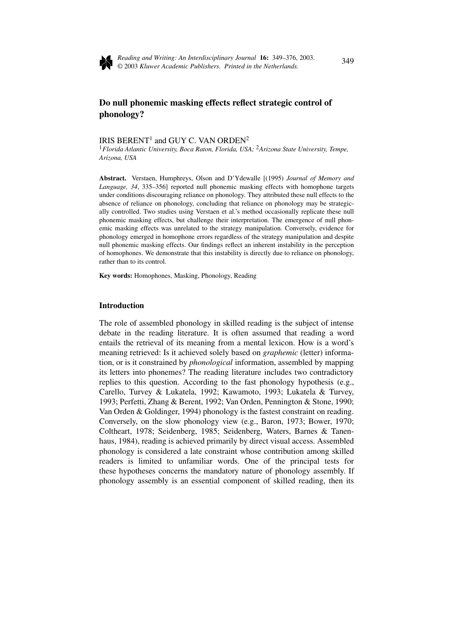

# **Do null phonemic masking effects reflect strategic control of phonology?**

# IRIS BERENT<sup>1</sup> and GUY C. VAN ORDEN<sup>2</sup>

<sup>1</sup>*Florida Atlantic University, Boca Raton, Florida, USA;* <sup>2</sup>*Arizona State University, Tempe, Arizona, USA*

**Abstract.** Verstaen, Humphreys, Olson and D'Ydewalle [(1995) *Journal of Memory and Language, 34*, 335–356] reported null phonemic masking effects with homophone targets under conditions discouraging reliance on phonology. They attributed these null effects to the absence of reliance on phonology, concluding that reliance on phonology may be strategically controlled. Two studies using Verstaen et al.'s method occasionally replicate these null phonemic masking effects, but challenge their interpretation. The emergence of null phonemic masking effects was unrelated to the strategy manipulation. Conversely, evidence for phonology emerged in homophone errors regardless of the strategy manipulation and despite null phonemic masking effects. Our findings reflect an inherent instability in the perception of homophones. We demonstrate that this instability is directly due to reliance on phonology, rather than to its control.

**Key words:** Homophones, Masking, Phonology, Reading

## **Introduction**

The role of assembled phonology in skilled reading is the subject of intense debate in the reading literature. It is often assumed that reading a word entails the retrieval of its meaning from a mental lexicon. How is a word's meaning retrieved: Is it achieved solely based on *graphemic* (letter) information, or is it constrained by *phonological* information, assembled by mapping its letters into phonemes? The reading literature includes two contradictory replies to this question. According to the fast phonology hypothesis (e.g., Carello, Turvey & Lukatela, 1992; Kawamoto, 1993; Lukatela & Turvey, 1993; Perfetti, Zhang & Berent, 1992; Van Orden, Pennington & Stone, 1990; Van Orden & Goldinger, 1994) phonology is the fastest constraint on reading. Conversely, on the slow phonology view (e.g., Baron, 1973; Bower, 1970; Coltheart, 1978; Seidenberg, 1985; Seidenberg, Waters, Barnes & Tanenhaus, 1984), reading is achieved primarily by direct visual access. Assembled phonology is considered a late constraint whose contribution among skilled readers is limited to unfamiliar words. One of the principal tests for these hypotheses concerns the mandatory nature of phonology assembly. If phonology assembly is an essential component of skilled reading, then its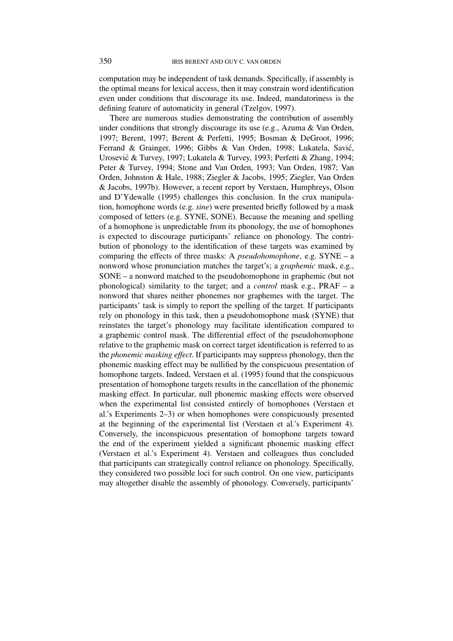computation may be independent of task demands. Specifically, if assembly is the optimal means for lexical access, then it may constrain word identification even under conditions that discourage its use. Indeed, mandatoriness is the defining feature of automaticity in general (Tzelgov, 1997).

There are numerous studies demonstrating the contribution of assembly under conditions that strongly discourage its use (e.g., Azuma & Van Orden, 1997; Berent, 1997; Berent & Perfetti, 1995; Bosman & DeGroot, 1996; Ferrand & Grainger, 1996; Gibbs & Van Orden, 1998; Lukatela, Savić, Urosevic & Turvey, 1997; Lukatela & Turvey, 1993; Perfetti & Zhang, 1994; ´ Peter & Turvey, 1994; Stone and Van Orden, 1993; Van Orden, 1987; Van Orden, Johnston & Hale, 1988; Ziegler & Jacobs, 1995; Ziegler, Van Orden & Jacobs, 1997b). However, a recent report by Verstaen, Humphreys, Olson and D'Ydewalle (1995) challenges this conclusion. In the crux manipulation, homophone words (e.g. *sine*) were presented briefly followed by a mask composed of letters (e.g. SYNE, SONE). Because the meaning and spelling of a homophone is unpredictable from its phonology, the use of homophones is expected to discourage participants' reliance on phonology. The contribution of phonology to the identification of these targets was examined by comparing the effects of three masks: A *pseudohomophone*, e.g. SYNE – a nonword whose pronunciation matches the target's; a *graphemic* mask, e.g., SONE – a nonword matched to the pseudohomophone in graphemic (but not phonological) similarity to the target; and a *control* mask e.g., PRAF – a nonword that shares neither phonemes nor graphemes with the target. The participants' task is simply to report the spelling of the target. If participants rely on phonology in this task, then a pseudohomophone mask (SYNE) that reinstates the target's phonology may facilitate identification compared to a graphemic control mask. The differential effect of the pseudohomophone relative to the graphemic mask on correct target identification is referred to as the *phonemic masking effect*. If participants may suppress phonology, then the phonemic masking effect may be nullified by the conspicuous presentation of homophone targets. Indeed, Verstaen et al. (1995) found that the conspicuous presentation of homophone targets results in the cancellation of the phonemic masking effect. In particular, null phonemic masking effects were observed when the experimental list consisted entirely of homophones (Verstaen et al.'s Experiments 2–3) or when homophones were conspicuously presented at the beginning of the experimental list (Verstaen et al.'s Experiment 4). Conversely, the inconspicuous presentation of homophone targets toward the end of the experiment yielded a significant phonemic masking effect (Verstaen et al.'s Experiment 4). Verstaen and colleagues thus concluded that participants can strategically control reliance on phonology. Specifically, they considered two possible loci for such control. On one view, participants may altogether disable the assembly of phonology. Conversely, participants'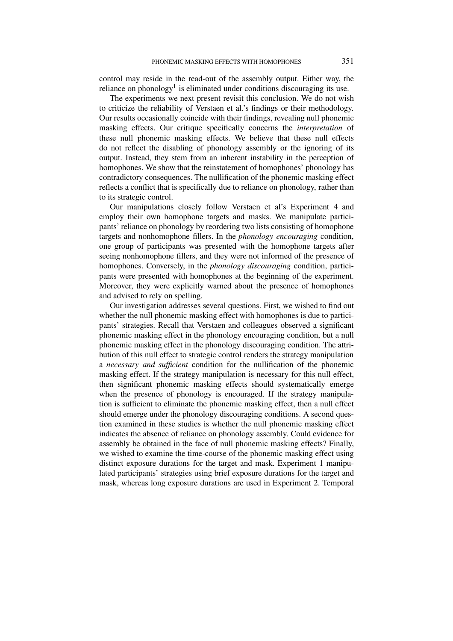control may reside in the read-out of the assembly output. Either way, the reliance on phonology<sup>1</sup> is eliminated under conditions discouraging its use.

The experiments we next present revisit this conclusion. We do not wish to criticize the reliability of Verstaen et al.'s findings or their methodology. Our results occasionally coincide with their findings, revealing null phonemic masking effects. Our critique specifically concerns the *interpretation* of these null phonemic masking effects. We believe that these null effects do not reflect the disabling of phonology assembly or the ignoring of its output. Instead, they stem from an inherent instability in the perception of homophones. We show that the reinstatement of homophones' phonology has contradictory consequences. The nullification of the phonemic masking effect reflects a conflict that is specifically due to reliance on phonology, rather than to its strategic control.

Our manipulations closely follow Verstaen et al's Experiment 4 and employ their own homophone targets and masks. We manipulate participants' reliance on phonology by reordering two lists consisting of homophone targets and nonhomophone fillers. In the *phonology encouraging* condition, one group of participants was presented with the homophone targets after seeing nonhomophone fillers, and they were not informed of the presence of homophones. Conversely, in the *phonology discouraging* condition, participants were presented with homophones at the beginning of the experiment. Moreover, they were explicitly warned about the presence of homophones and advised to rely on spelling.

Our investigation addresses several questions. First, we wished to find out whether the null phonemic masking effect with homophones is due to participants' strategies. Recall that Verstaen and colleagues observed a significant phonemic masking effect in the phonology encouraging condition, but a null phonemic masking effect in the phonology discouraging condition. The attribution of this null effect to strategic control renders the strategy manipulation a *necessary and sufficient* condition for the nullification of the phonemic masking effect. If the strategy manipulation is necessary for this null effect, then significant phonemic masking effects should systematically emerge when the presence of phonology is encouraged. If the strategy manipulation is sufficient to eliminate the phonemic masking effect, then a null effect should emerge under the phonology discouraging conditions. A second question examined in these studies is whether the null phonemic masking effect indicates the absence of reliance on phonology assembly. Could evidence for assembly be obtained in the face of null phonemic masking effects? Finally, we wished to examine the time-course of the phonemic masking effect using distinct exposure durations for the target and mask. Experiment 1 manipulated participants' strategies using brief exposure durations for the target and mask, whereas long exposure durations are used in Experiment 2. Temporal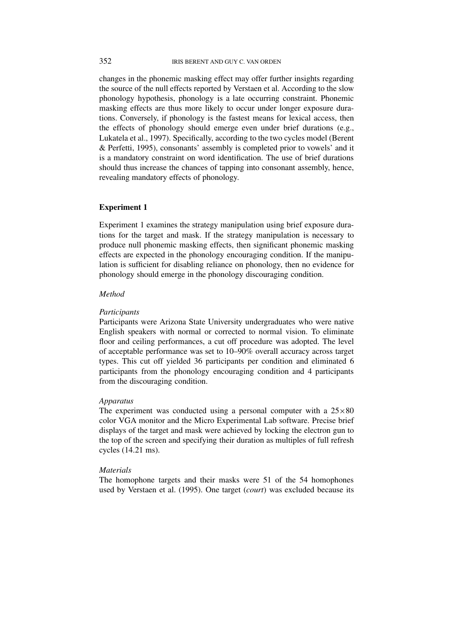changes in the phonemic masking effect may offer further insights regarding the source of the null effects reported by Verstaen et al. According to the slow phonology hypothesis, phonology is a late occurring constraint. Phonemic masking effects are thus more likely to occur under longer exposure durations. Conversely, if phonology is the fastest means for lexical access, then the effects of phonology should emerge even under brief durations (e.g., Lukatela et al., 1997). Specifically, according to the two cycles model (Berent & Perfetti, 1995), consonants' assembly is completed prior to vowels' and it is a mandatory constraint on word identification. The use of brief durations should thus increase the chances of tapping into consonant assembly, hence, revealing mandatory effects of phonology.

## **Experiment 1**

Experiment 1 examines the strategy manipulation using brief exposure durations for the target and mask. If the strategy manipulation is necessary to produce null phonemic masking effects, then significant phonemic masking effects are expected in the phonology encouraging condition. If the manipulation is sufficient for disabling reliance on phonology, then no evidence for phonology should emerge in the phonology discouraging condition.

#### *Method*

## *Participants*

Participants were Arizona State University undergraduates who were native English speakers with normal or corrected to normal vision. To eliminate floor and ceiling performances, a cut off procedure was adopted. The level of acceptable performance was set to 10–90% overall accuracy across target types. This cut off yielded 36 participants per condition and eliminated 6 participants from the phonology encouraging condition and 4 participants from the discouraging condition.

#### *Apparatus*

The experiment was conducted using a personal computer with a  $25 \times 80$ color VGA monitor and the Micro Experimental Lab software. Precise brief displays of the target and mask were achieved by locking the electron gun to the top of the screen and specifying their duration as multiples of full refresh cycles (14.21 ms).

### *Materials*

The homophone targets and their masks were 51 of the 54 homophones used by Verstaen et al. (1995). One target (*court*) was excluded because its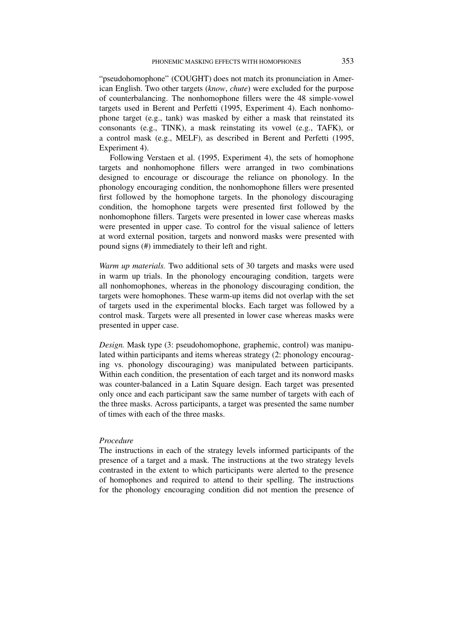"pseudohomophone" (COUGHT) does not match its pronunciation in American English. Two other targets (*know*, *chute*) were excluded for the purpose of counterbalancing. The nonhomophone fillers were the 48 simple-vowel targets used in Berent and Perfetti (1995, Experiment 4). Each nonhomophone target (e.g., tank) was masked by either a mask that reinstated its consonants (e.g., TINK), a mask reinstating its vowel (e.g., TAFK), or a control mask (e.g., MELF), as described in Berent and Perfetti (1995, Experiment 4).

Following Verstaen et al. (1995, Experiment 4), the sets of homophone targets and nonhomophone fillers were arranged in two combinations designed to encourage or discourage the reliance on phonology. In the phonology encouraging condition, the nonhomophone fillers were presented first followed by the homophone targets. In the phonology discouraging condition, the homophone targets were presented first followed by the nonhomophone fillers. Targets were presented in lower case whereas masks were presented in upper case. To control for the visual salience of letters at word external position, targets and nonword masks were presented with pound signs (#) immediately to their left and right.

*Warm up materials.* Two additional sets of 30 targets and masks were used in warm up trials. In the phonology encouraging condition, targets were all nonhomophones, whereas in the phonology discouraging condition, the targets were homophones. These warm-up items did not overlap with the set of targets used in the experimental blocks. Each target was followed by a control mask. Targets were all presented in lower case whereas masks were presented in upper case.

*Design.* Mask type (3: pseudohomophone, graphemic, control) was manipulated within participants and items whereas strategy (2: phonology encouraging vs. phonology discouraging) was manipulated between participants. Within each condition, the presentation of each target and its nonword masks was counter-balanced in a Latin Square design. Each target was presented only once and each participant saw the same number of targets with each of the three masks. Across participants, a target was presented the same number of times with each of the three masks.

### *Procedure*

The instructions in each of the strategy levels informed participants of the presence of a target and a mask. The instructions at the two strategy levels contrasted in the extent to which participants were alerted to the presence of homophones and required to attend to their spelling. The instructions for the phonology encouraging condition did not mention the presence of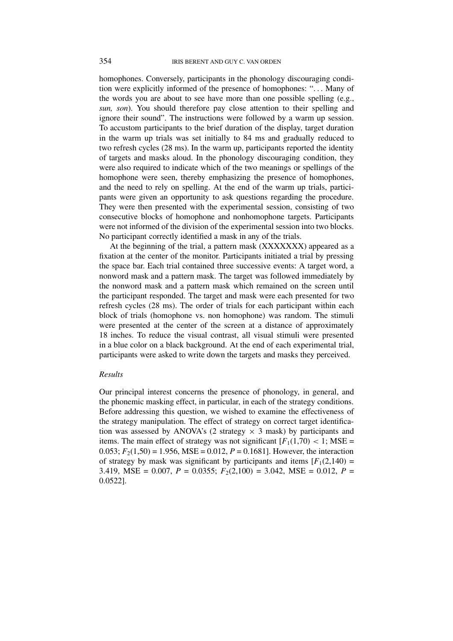homophones. Conversely, participants in the phonology discouraging condition were explicitly informed of the presence of homophones: "*...* Many of the words you are about to see have more than one possible spelling (e.g., *sun, son*). You should therefore pay close attention to their spelling and ignore their sound". The instructions were followed by a warm up session. To accustom participants to the brief duration of the display, target duration in the warm up trials was set initially to 84 ms and gradually reduced to two refresh cycles (28 ms). In the warm up, participants reported the identity of targets and masks aloud. In the phonology discouraging condition, they were also required to indicate which of the two meanings or spellings of the homophone were seen, thereby emphasizing the presence of homophones, and the need to rely on spelling. At the end of the warm up trials, participants were given an opportunity to ask questions regarding the procedure. They were then presented with the experimental session, consisting of two consecutive blocks of homophone and nonhomophone targets. Participants were not informed of the division of the experimental session into two blocks. No participant correctly identified a mask in any of the trials.

At the beginning of the trial, a pattern mask (XXXXXXX) appeared as a fixation at the center of the monitor. Participants initiated a trial by pressing the space bar. Each trial contained three successive events: A target word, a nonword mask and a pattern mask. The target was followed immediately by the nonword mask and a pattern mask which remained on the screen until the participant responded. The target and mask were each presented for two refresh cycles (28 ms). The order of trials for each participant within each block of trials (homophone vs. non homophone) was random. The stimuli were presented at the center of the screen at a distance of approximately 18 inches. To reduce the visual contrast, all visual stimuli were presented in a blue color on a black background. At the end of each experimental trial, participants were asked to write down the targets and masks they perceived.

### *Results*

Our principal interest concerns the presence of phonology, in general, and the phonemic masking effect, in particular, in each of the strategy conditions. Before addressing this question, we wished to examine the effectiveness of the strategy manipulation. The effect of strategy on correct target identification was assessed by ANOVA's (2 strategy  $\times$  3 mask) by participants and items. The main effect of strategy was not significant  $[F_1(1,70) < 1; \text{MSE} =$ 0.053;  $F_2(1,50) = 1.956$ , MSE = 0.012,  $P = 0.1681$ . However, the interaction of strategy by mask was significant by participants and items  $[F_1(2,140) =$ 3.419, MSE =  $0.007$ ,  $P = 0.0355$ ;  $F<sub>2</sub>(2,100) = 3.042$ , MSE =  $0.012$ ,  $P =$ 0.0522].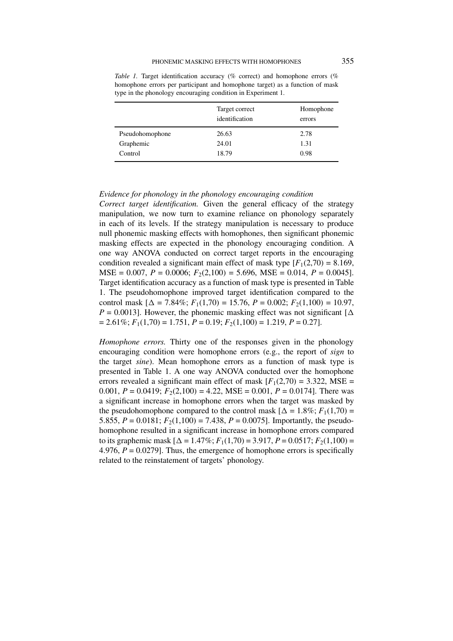|                 | Target correct<br>identification | Homophone<br>errors |
|-----------------|----------------------------------|---------------------|
| Pseudohomophone | 26.63                            | 2.78                |
| Graphemic       | 24.01                            | 1.31                |
| Control         | 18.79                            | 0.98                |

*Table 1.* Target identification accuracy (% correct) and homophone errors (%) homophone errors per participant and homophone target) as a function of mask type in the phonology encouraging condition in Experiment 1.

### *Evidence for phonology in the phonology encouraging condition*

*Correct target identification.* Given the general efficacy of the strategy manipulation, we now turn to examine reliance on phonology separately in each of its levels. If the strategy manipulation is necessary to produce null phonemic masking effects with homophones, then significant phonemic masking effects are expected in the phonology encouraging condition. A one way ANOVA conducted on correct target reports in the encouraging condition revealed a significant main effect of mask type  $[F_1(2,70) = 8.169]$ ,  $MSE = 0.007$ ,  $P = 0.0006$ ;  $F<sub>2</sub>(2,100) = 5.696$ ,  $MSE = 0.014$ ,  $P = 0.0045$ . Target identification accuracy as a function of mask type is presented in Table 1. The pseudohomophone improved target identification compared to the control mask  $[\Delta = 7.84\%; F_1(1,70) = 15.76, P = 0.002; F_2(1,100) = 10.97,$  $P = 0.0013$ ]. However, the phonemic masking effect was not significant [ $\Delta$ ]  $= 2.61\%$ ;  $F_1(1,70) = 1.751$ ,  $P = 0.19$ ;  $F_2(1,100) = 1.219$ ,  $P = 0.27$ ].

*Homophone errors.* Thirty one of the responses given in the phonology encouraging condition were homophone errors (e.g., the report of *sign* to the target *sine*). Mean homophone errors as a function of mask type is presented in Table 1. A one way ANOVA conducted over the homophone errors revealed a significant main effect of mask  $[F_1(2,70) = 3.322$ , MSE = 0.001,  $P = 0.0419$ ;  $F<sub>2</sub>(2,100) = 4.22$ , MSE = 0.001,  $P = 0.0174$ . There was a significant increase in homophone errors when the target was masked by the pseudohomophone compared to the control mask  $[\Delta = 1.8\%; F_1(1,70) =$ 5.855,  $P = 0.0181$ ;  $F<sub>2</sub>(1,100) = 7.438$ ,  $P = 0.0075$ ]. Importantly, the pseudohomophone resulted in a significant increase in homophone errors compared to its graphemic mask  $[\Delta = 1.47\%; F_1(1,70) = 3.917, P = 0.0517; F_2(1,100) =$ 4.976,  $P = 0.0279$ . Thus, the emergence of homophone errors is specifically related to the reinstatement of targets' phonology.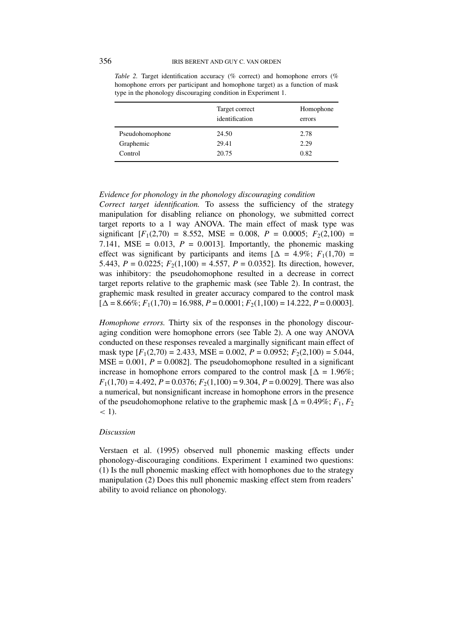|                 | Target correct<br>identification | Homophone<br>errors |
|-----------------|----------------------------------|---------------------|
| Pseudohomophone | 24.50                            | 2.78                |
| Graphemic       | 29.41                            | 2.29                |
| Control         | 20.75                            | 0.82                |

*Table 2.* Target identification accuracy (% correct) and homophone errors (%) homophone errors per participant and homophone target) as a function of mask type in the phonology discouraging condition in Experiment 1.

## *Evidence for phonology in the phonology discouraging condition*

*Correct target identification.* To assess the sufficiency of the strategy manipulation for disabling reliance on phonology, we submitted correct target reports to a 1 way ANOVA. The main effect of mask type was significant  $[F_1(2,70) = 8.552, \text{MSE} = 0.008, P = 0.0005; F_2(2,100) =$ 7.141, MSE =  $0.013$ ,  $P = 0.0013$ ]. Importantly, the phonemic masking effect was significant by participants and items  $[\Delta = 4.9\%; F_1(1,70) =$ 5.443,  $P = 0.0225$ ;  $F_2(1,100) = 4.557$ ,  $P = 0.0352$ ]. Its direction, however, was inhibitory: the pseudohomophone resulted in a decrease in correct target reports relative to the graphemic mask (see Table 2). In contrast, the graphemic mask resulted in greater accuracy compared to the control mask  $[\Delta = 8.66\%; F_1(1,70) = 16.988, P = 0.0001; F_2(1,100) = 14.222, P = 0.0003].$ 

*Homophone errors.* Thirty six of the responses in the phonology discouraging condition were homophone errors (see Table 2). A one way ANOVA conducted on these responses revealed a marginally significant main effect of mask type  $[F_1(2,70) = 2.433, \text{MSE} = 0.002, P = 0.0952; F_2(2,100) = 5.044,$  $MSE = 0.001$ ,  $P = 0.0082$ . The pseudohomophone resulted in a significant increase in homophone errors compared to the control mask  $[\Delta = 1.96\%;$  $F_1(1,70) = 4.492$ ,  $P = 0.0376$ ;  $F_2(1,100) = 9.304$ ,  $P = 0.0029$ ]. There was also a numerical, but nonsignificant increase in homophone errors in the presence of the pseudohomophone relative to the graphemic mask  $[\Delta = 0.49\%; F_1, F_2]$  $<$  1).

## *Discussion*

Verstaen et al. (1995) observed null phonemic masking effects under phonology-discouraging conditions. Experiment 1 examined two questions: (1) Is the null phonemic masking effect with homophones due to the strategy manipulation (2) Does this null phonemic masking effect stem from readers' ability to avoid reliance on phonology.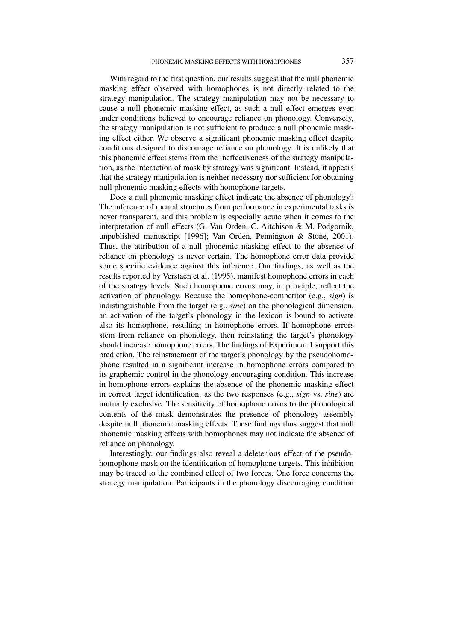With regard to the first question, our results suggest that the null phonemic masking effect observed with homophones is not directly related to the strategy manipulation. The strategy manipulation may not be necessary to cause a null phonemic masking effect, as such a null effect emerges even under conditions believed to encourage reliance on phonology. Conversely, the strategy manipulation is not sufficient to produce a null phonemic masking effect either. We observe a significant phonemic masking effect despite conditions designed to discourage reliance on phonology. It is unlikely that this phonemic effect stems from the ineffectiveness of the strategy manipulation, as the interaction of mask by strategy was significant. Instead, it appears that the strategy manipulation is neither necessary nor sufficient for obtaining null phonemic masking effects with homophone targets.

Does a null phonemic masking effect indicate the absence of phonology? The inference of mental structures from performance in experimental tasks is never transparent, and this problem is especially acute when it comes to the interpretation of null effects (G. Van Orden, C. Aitchison & M. Podgornik, unpublished manuscript [1996]; Van Orden, Pennington & Stone, 2001). Thus, the attribution of a null phonemic masking effect to the absence of reliance on phonology is never certain. The homophone error data provide some specific evidence against this inference. Our findings, as well as the results reported by Verstaen et al. (1995), manifest homophone errors in each of the strategy levels. Such homophone errors may, in principle, reflect the activation of phonology. Because the homophone-competitor (e.g., *sign*) is indistinguishable from the target (e.g., *sine*) on the phonological dimension, an activation of the target's phonology in the lexicon is bound to activate also its homophone, resulting in homophone errors. If homophone errors stem from reliance on phonology, then reinstating the target's phonology should increase homophone errors. The findings of Experiment 1 support this prediction. The reinstatement of the target's phonology by the pseudohomophone resulted in a significant increase in homophone errors compared to its graphemic control in the phonology encouraging condition. This increase in homophone errors explains the absence of the phonemic masking effect in correct target identification, as the two responses (e.g., *sign* vs. *sine*) are mutually exclusive. The sensitivity of homophone errors to the phonological contents of the mask demonstrates the presence of phonology assembly despite null phonemic masking effects. These findings thus suggest that null phonemic masking effects with homophones may not indicate the absence of reliance on phonology.

Interestingly, our findings also reveal a deleterious effect of the pseudohomophone mask on the identification of homophone targets. This inhibition may be traced to the combined effect of two forces. One force concerns the strategy manipulation. Participants in the phonology discouraging condition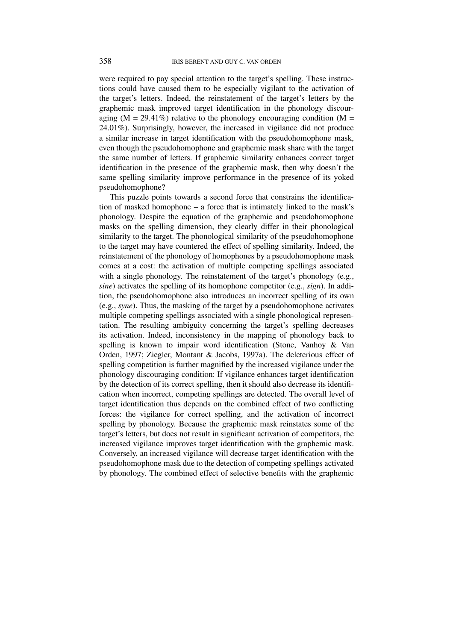were required to pay special attention to the target's spelling. These instructions could have caused them to be especially vigilant to the activation of the target's letters. Indeed, the reinstatement of the target's letters by the graphemic mask improved target identification in the phonology discouraging ( $M = 29.41\%$ ) relative to the phonology encouraging condition ( $M =$ 24.01%). Surprisingly, however, the increased in vigilance did not produce a similar increase in target identification with the pseudohomophone mask, even though the pseudohomophone and graphemic mask share with the target the same number of letters. If graphemic similarity enhances correct target identification in the presence of the graphemic mask, then why doesn't the same spelling similarity improve performance in the presence of its yoked pseudohomophone?

This puzzle points towards a second force that constrains the identification of masked homophone – a force that is intimately linked to the mask's phonology. Despite the equation of the graphemic and pseudohomophone masks on the spelling dimension, they clearly differ in their phonological similarity to the target. The phonological similarity of the pseudohomophone to the target may have countered the effect of spelling similarity. Indeed, the reinstatement of the phonology of homophones by a pseudohomophone mask comes at a cost: the activation of multiple competing spellings associated with a single phonology. The reinstatement of the target's phonology (e.g., *sine*) activates the spelling of its homophone competitor (e.g., *sign*). In addition, the pseudohomophone also introduces an incorrect spelling of its own (e.g., *syne*). Thus, the masking of the target by a pseudohomophone activates multiple competing spellings associated with a single phonological representation. The resulting ambiguity concerning the target's spelling decreases its activation. Indeed, inconsistency in the mapping of phonology back to spelling is known to impair word identification (Stone, Vanhoy & Van Orden, 1997; Ziegler, Montant & Jacobs, 1997a). The deleterious effect of spelling competition is further magnified by the increased vigilance under the phonology discouraging condition: If vigilance enhances target identification by the detection of its correct spelling, then it should also decrease its identification when incorrect, competing spellings are detected. The overall level of target identification thus depends on the combined effect of two conflicting forces: the vigilance for correct spelling, and the activation of incorrect spelling by phonology. Because the graphemic mask reinstates some of the target's letters, but does not result in significant activation of competitors, the increased vigilance improves target identification with the graphemic mask. Conversely, an increased vigilance will decrease target identification with the pseudohomophone mask due to the detection of competing spellings activated by phonology. The combined effect of selective benefits with the graphemic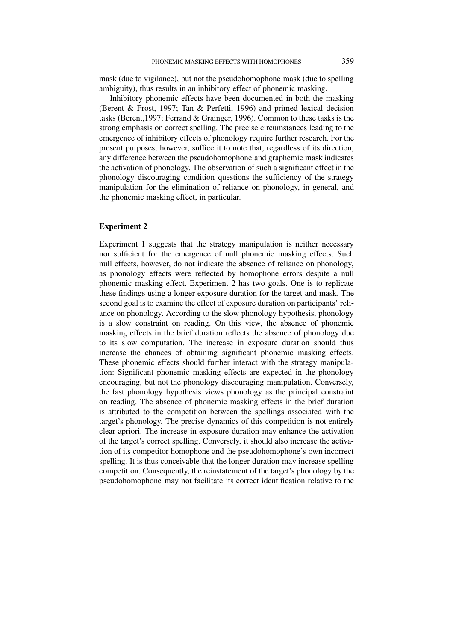mask (due to vigilance), but not the pseudohomophone mask (due to spelling ambiguity), thus results in an inhibitory effect of phonemic masking.

Inhibitory phonemic effects have been documented in both the masking (Berent & Frost, 1997; Tan & Perfetti, 1996) and primed lexical decision tasks (Berent,1997; Ferrand & Grainger, 1996). Common to these tasks is the strong emphasis on correct spelling. The precise circumstances leading to the emergence of inhibitory effects of phonology require further research. For the present purposes, however, suffice it to note that, regardless of its direction, any difference between the pseudohomophone and graphemic mask indicates the activation of phonology. The observation of such a significant effect in the phonology discouraging condition questions the sufficiency of the strategy manipulation for the elimination of reliance on phonology, in general, and the phonemic masking effect, in particular.

## **Experiment 2**

Experiment 1 suggests that the strategy manipulation is neither necessary nor sufficient for the emergence of null phonemic masking effects. Such null effects, however, do not indicate the absence of reliance on phonology, as phonology effects were reflected by homophone errors despite a null phonemic masking effect. Experiment 2 has two goals. One is to replicate these findings using a longer exposure duration for the target and mask. The second goal is to examine the effect of exposure duration on participants' reliance on phonology. According to the slow phonology hypothesis, phonology is a slow constraint on reading. On this view, the absence of phonemic masking effects in the brief duration reflects the absence of phonology due to its slow computation. The increase in exposure duration should thus increase the chances of obtaining significant phonemic masking effects. These phonemic effects should further interact with the strategy manipulation: Significant phonemic masking effects are expected in the phonology encouraging, but not the phonology discouraging manipulation. Conversely, the fast phonology hypothesis views phonology as the principal constraint on reading. The absence of phonemic masking effects in the brief duration is attributed to the competition between the spellings associated with the target's phonology. The precise dynamics of this competition is not entirely clear apriori. The increase in exposure duration may enhance the activation of the target's correct spelling. Conversely, it should also increase the activation of its competitor homophone and the pseudohomophone's own incorrect spelling. It is thus conceivable that the longer duration may increase spelling competition. Consequently, the reinstatement of the target's phonology by the pseudohomophone may not facilitate its correct identification relative to the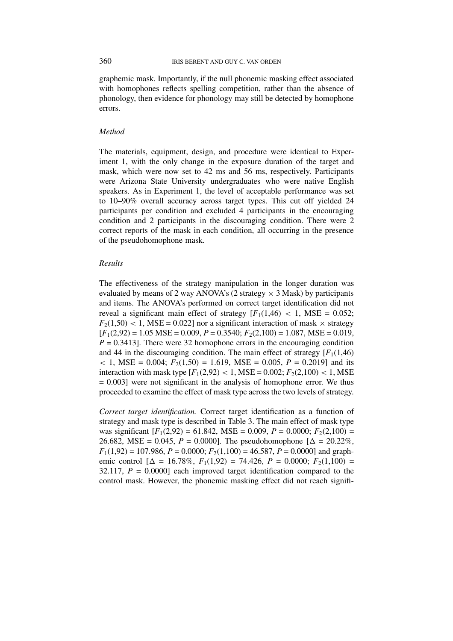graphemic mask. Importantly, if the null phonemic masking effect associated with homophones reflects spelling competition, rather than the absence of phonology, then evidence for phonology may still be detected by homophone errors.

## *Method*

The materials, equipment, design, and procedure were identical to Experiment 1, with the only change in the exposure duration of the target and mask, which were now set to 42 ms and 56 ms, respectively. Participants were Arizona State University undergraduates who were native English speakers. As in Experiment 1, the level of acceptable performance was set to 10–90% overall accuracy across target types. This cut off yielded 24 participants per condition and excluded 4 participants in the encouraging condition and 2 participants in the discouraging condition. There were 2 correct reports of the mask in each condition, all occurring in the presence of the pseudohomophone mask.

## *Results*

The effectiveness of the strategy manipulation in the longer duration was evaluated by means of 2 way ANOVA's (2 strategy  $\times$  3 Mask) by participants and items. The ANOVA's performed on correct target identification did not reveal a significant main effect of strategy  $[F_1(1,46) < 1, \text{MSE} = 0.052;$  $F_2(1,50)$  < 1, MSE = 0.022] nor a significant interaction of mask  $\times$  strategy  $[F_1(2,92) = 1.05 \text{ MSE} = 0.009, P = 0.3540; F_2(2,100) = 1.087, \text{ MSE} = 0.019,$  $P = 0.3413$ . There were 32 homophone errors in the encouraging condition and 44 in the discouraging condition. The main effect of strategy  $[F_1(1,46)]$  $\epsilon$  1, MSE = 0.004;  $F_2(1,50) = 1.619$ , MSE = 0.005, *P* = 0.2019] and its interaction with mask type  $[F_1(2.92) < 1, \text{MSE} = 0.002; F_2(2.100) < 1, \text{MSE}$  $= 0.003$ ] were not significant in the analysis of homophone error. We thus proceeded to examine the effect of mask type across the two levels of strategy.

*Correct target identification.* Correct target identification as a function of strategy and mask type is described in Table 3. The main effect of mask type was significant  $[F_1(2,92) = 61.842$ , MSE = 0.009,  $P = 0.0000$ ;  $F_2(2,100) =$ 26.682, MSE = 0.045,  $P = 0.0000$ . The pseudohomophone  $[\Delta = 20.22\%,$  $F_1(1,92) = 107.986$ ,  $P = 0.0000$ ;  $F_2(1,100) = 46.587$ ,  $P = 0.0000$ ] and graphemic control  $[\Delta = 16.78\%, F_1(1,92) = 74.426, P = 0.0000; F_2(1,100) =$ 32.117,  $P = 0.0000$ ] each improved target identification compared to the control mask. However, the phonemic masking effect did not reach signifi-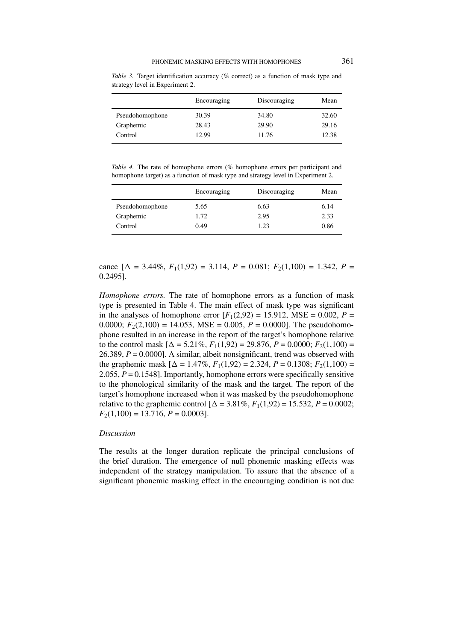|                 | Encouraging | Discouraging | Mean  |
|-----------------|-------------|--------------|-------|
| Pseudohomophone | 30.39       | 34.80        | 32.60 |
| Graphemic       | 28.43       | 29.90        | 29.16 |
| Control         | 12.99       | 11.76        | 12.38 |

*Table 3.* Target identification accuracy (% correct) as a function of mask type and strategy level in Experiment 2.

*Table 4.* The rate of homophone errors (% homophone errors per participant and homophone target) as a function of mask type and strategy level in Experiment 2.

|                 | Encouraging | Discouraging | Mean |
|-----------------|-------------|--------------|------|
| Pseudohomophone | 5.65        | 6.63         | 6.14 |
| Graphemic       | 1.72        | 2.95         | 2.33 |
| Control         | 0.49        | 1.23         | 0.86 |

cance  $[\Delta = 3.44\%, F_1(1.92) = 3.114, P = 0.081; F_2(1.100) = 1.342, P =$ 0.2495].

*Homophone errors.* The rate of homophone errors as a function of mask type is presented in Table 4. The main effect of mask type was significant in the analyses of homophone error  $[F_1(2,92) = 15.912, \text{MSE} = 0.002, P =$ 0.0000;  $F_2(2,100) = 14.053$ , MSE = 0.005,  $P = 0.0000$ . The pseudohomophone resulted in an increase in the report of the target's homophone relative to the control mask  $[\Delta = 5.21\%, F_1(1,92) = 29.876, P = 0.0000; F_2(1,100) =$ 26.389,  $P = 0.0000$ ]. A similar, albeit nonsignificant, trend was observed with the graphemic mask  $[\Delta = 1.47\%, F_1(1,92) = 2.324, P = 0.1308; F_2(1,100) =$ 2.055,  $P = 0.1548$ ]. Importantly, homophone errors were specifically sensitive to the phonological similarity of the mask and the target. The report of the target's homophone increased when it was masked by the pseudohomophone relative to the graphemic control  $[\Delta = 3.81\%, F_1(1,92) = 15.532, P = 0.0002;$  $F_2(1,100) = 13.716, P = 0.0003$ .

### *Discussion*

The results at the longer duration replicate the principal conclusions of the brief duration. The emergence of null phonemic masking effects was independent of the strategy manipulation. To assure that the absence of a significant phonemic masking effect in the encouraging condition is not due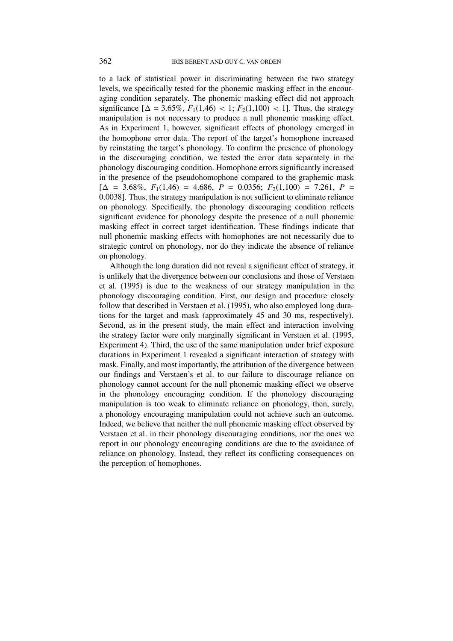to a lack of statistical power in discriminating between the two strategy levels, we specifically tested for the phonemic masking effect in the encouraging condition separately. The phonemic masking effect did not approach significance  $[\Delta = 3.65\%, F_1(1,46) < 1; F_2(1,100) < 1]$ . Thus, the strategy manipulation is not necessary to produce a null phonemic masking effect. As in Experiment 1, however, significant effects of phonology emerged in the homophone error data. The report of the target's homophone increased by reinstating the target's phonology. To confirm the presence of phonology in the discouraging condition, we tested the error data separately in the phonology discouraging condition. Homophone errors significantly increased in the presence of the pseudohomophone compared to the graphemic mask  $[\Delta = 3.68\%, F_1(1,46) = 4.686, P = 0.0356; F_2(1,100) = 7.261, P =$ 0.0038]. Thus, the strategy manipulation is not sufficient to eliminate reliance on phonology. Specifically, the phonology discouraging condition reflects significant evidence for phonology despite the presence of a null phonemic masking effect in correct target identification. These findings indicate that null phonemic masking effects with homophones are not necessarily due to strategic control on phonology, nor do they indicate the absence of reliance on phonology.

Although the long duration did not reveal a significant effect of strategy, it is unlikely that the divergence between our conclusions and those of Verstaen et al. (1995) is due to the weakness of our strategy manipulation in the phonology discouraging condition. First, our design and procedure closely follow that described in Verstaen et al. (1995), who also employed long durations for the target and mask (approximately 45 and 30 ms, respectively). Second, as in the present study, the main effect and interaction involving the strategy factor were only marginally significant in Verstaen et al. (1995, Experiment 4). Third, the use of the same manipulation under brief exposure durations in Experiment 1 revealed a significant interaction of strategy with mask. Finally, and most importantly, the attribution of the divergence between our findings and Verstaen's et al. to our failure to discourage reliance on phonology cannot account for the null phonemic masking effect we observe in the phonology encouraging condition. If the phonology discouraging manipulation is too weak to eliminate reliance on phonology, then, surely, a phonology encouraging manipulation could not achieve such an outcome. Indeed, we believe that neither the null phonemic masking effect observed by Verstaen et al. in their phonology discouraging conditions, nor the ones we report in our phonology encouraging conditions are due to the avoidance of reliance on phonology. Instead, they reflect its conflicting consequences on the perception of homophones.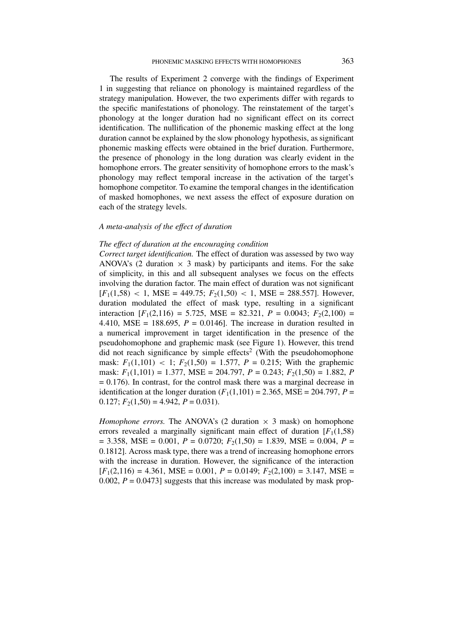The results of Experiment 2 converge with the findings of Experiment 1 in suggesting that reliance on phonology is maintained regardless of the strategy manipulation. However, the two experiments differ with regards to the specific manifestations of phonology. The reinstatement of the target's phonology at the longer duration had no significant effect on its correct identification. The nullification of the phonemic masking effect at the long duration cannot be explained by the slow phonology hypothesis, as significant phonemic masking effects were obtained in the brief duration. Furthermore, the presence of phonology in the long duration was clearly evident in the homophone errors. The greater sensitivity of homophone errors to the mask's phonology may reflect temporal increase in the activation of the target's homophone competitor. To examine the temporal changes in the identification of masked homophones, we next assess the effect of exposure duration on each of the strategy levels.

### *A meta-analysis of the effect of duration*

## *The effect of duration at the encouraging condition*

*Correct target identification.* The effect of duration was assessed by two way ANOVA's (2 duration  $\times$  3 mask) by participants and items. For the sake of simplicity, in this and all subsequent analyses we focus on the effects involving the duration factor. The main effect of duration was not significant  $[F_1(1,58)$  < 1, MSE = 449.75;  $F_2(1,50)$  < 1, MSE = 288.557]. However, duration modulated the effect of mask type, resulting in a significant interaction  $[F_1(2,116) = 5.725$ , MSE = 82.321,  $P = 0.0043$ ;  $F_2(2,100) =$ 4.410, MSE = 188.695,  $P = 0.0146$ ]. The increase in duration resulted in a numerical improvement in target identification in the presence of the pseudohomophone and graphemic mask (see Figure 1). However, this trend did not reach significance by simple effects<sup>2</sup> (With the pseudohomophone mask:  $F_1(1,101)$  < 1;  $F_2(1,50) = 1.577$ ,  $P = 0.215$ ; With the graphemic mask:  $F_1(1,101) = 1.377$ , MSE = 204.797,  $P = 0.243$ ;  $F_2(1,50) = 1.882$ , *P*  $= 0.176$ ). In contrast, for the control mask there was a marginal decrease in identification at the longer duration  $(F_1(1,101) = 2.365$ , MSE = 204.797, *P* =  $0.127; F_2(1,50) = 4.942, P = 0.031$ .

*Homophone errors.* The ANOVA's (2 duration  $\times$  3 mask) on homophone errors revealed a marginally significant main effect of duration  $[F_1(1,58)]$  $= 3.358$ , MSE = 0.001,  $P = 0.0720$ ;  $F_2(1,50) = 1.839$ , MSE = 0.004,  $P =$ 0.1812]. Across mask type, there was a trend of increasing homophone errors with the increase in duration. However, the significance of the interaction  $[F_1(2,116) = 4.361, \text{ MSE} = 0.001, P = 0.0149; F_2(2,100) = 3.147, \text{ MSE} =$ 0.002,  $P = 0.0473$ ] suggests that this increase was modulated by mask prop-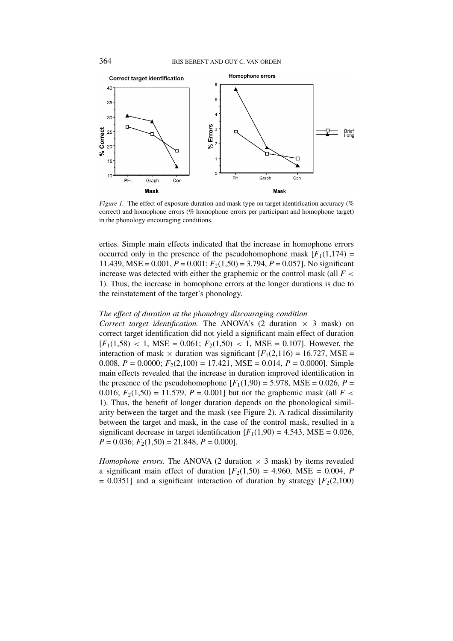

*Figure 1.* The effect of exposure duration and mask type on target identification accuracy (%) correct) and homophone errors (% homophone errors per participant and homophone target) in the phonology encouraging conditions.

erties. Simple main effects indicated that the increase in homophone errors occurred only in the presence of the pseudohomophone mask  $[F_1(1,174) =$ 11.439, MSE =  $0.001$ ,  $P = 0.001$ ;  $F<sub>2</sub>(1,50) = 3.794$ ,  $P = 0.057$ ]. No significant increase was detected with either the graphemic or the control mask (all *F <* 1). Thus, the increase in homophone errors at the longer durations is due to the reinstatement of the target's phonology.

## *The effect of duration at the phonology discouraging condition*

*Correct target identification.* The ANOVA's  $(2 \text{ duration } \times 3 \text{ mask})$  on correct target identification did not yield a significant main effect of duration  $[F_1(1,58)$  < 1, MSE = 0.061;  $F_2(1,50)$  < 1, MSE = 0.107]. However, the interaction of mask  $\times$  duration was significant  $[F_1(2,116) = 16.727$ , MSE = 0.008,  $P = 0.0000$ ;  $F<sub>2</sub>(2,100) = 17.421$ , MSE = 0.014,  $P = 0.0000$ ]. Simple main effects revealed that the increase in duration improved identification in the presence of the pseudohomophone  $[F_1(1,90) = 5.978$ , MSE = 0.026, P = 0.016;  $F_2(1,50) = 11.579$ ,  $P = 0.001$  but not the graphemic mask (all  $F <$ 1). Thus, the benefit of longer duration depends on the phonological similarity between the target and the mask (see Figure 2). A radical dissimilarity between the target and mask, in the case of the control mask, resulted in a significant decrease in target identification  $[F_1(1,90) = 4.543, \text{MSE} = 0.026,$  $P = 0.036$ ;  $F<sub>2</sub>(1,50) = 21.848$ ,  $P = 0.000$ ].

*Homophone errors.* The ANOVA (2 duration  $\times$  3 mask) by items revealed a significant main effect of duration  $[F_2(1,50) = 4.960$ , MSE = 0.004, *P*  $= 0.0351$ ] and a significant interaction of duration by strategy  $[F<sub>2</sub>(2,100)$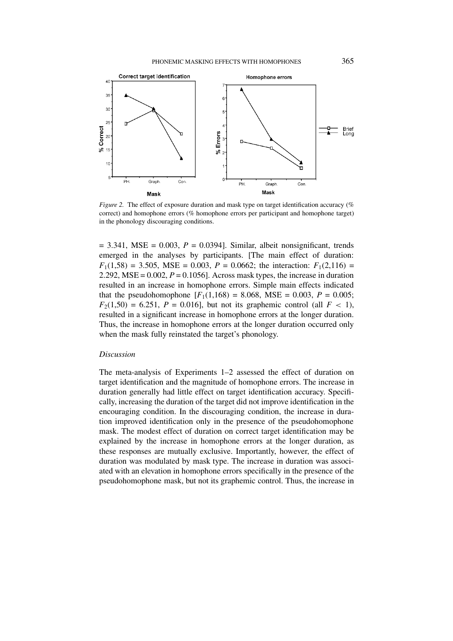

*Figure 2.* The effect of exposure duration and mask type on target identification accuracy (%) correct) and homophone errors (% homophone errors per participant and homophone target) in the phonology discouraging conditions.

 $= 3.341$ , MSE  $= 0.003$ ,  $P = 0.0394$ . Similar, albeit nonsignificant, trends emerged in the analyses by participants. [The main effect of duration:  $F_1(1,58) = 3.505$ , MSE = 0.003,  $P = 0.0662$ ; the interaction:  $F_1(2,116) =$ 2.292, MSE =  $0.002$ ,  $P = 0.1056$ . Across mask types, the increase in duration resulted in an increase in homophone errors. Simple main effects indicated that the pseudohomophone  $[F_1(1,168) = 8.068$ , MSE = 0.003,  $P = 0.005$ ;  $F_2(1,50) = 6.251$ ,  $P = 0.016$ , but not its graphemic control (all  $F < 1$ ), resulted in a significant increase in homophone errors at the longer duration. Thus, the increase in homophone errors at the longer duration occurred only when the mask fully reinstated the target's phonology.

### *Discussion*

The meta-analysis of Experiments 1–2 assessed the effect of duration on target identification and the magnitude of homophone errors. The increase in duration generally had little effect on target identification accuracy. Specifically, increasing the duration of the target did not improve identification in the encouraging condition. In the discouraging condition, the increase in duration improved identification only in the presence of the pseudohomophone mask. The modest effect of duration on correct target identification may be explained by the increase in homophone errors at the longer duration, as these responses are mutually exclusive. Importantly, however, the effect of duration was modulated by mask type. The increase in duration was associated with an elevation in homophone errors specifically in the presence of the pseudohomophone mask, but not its graphemic control. Thus, the increase in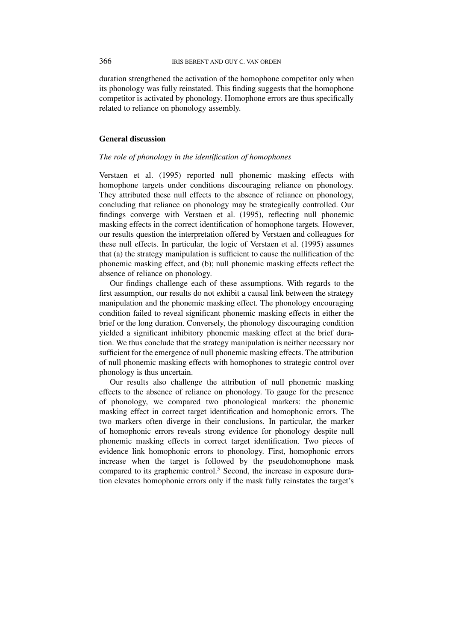duration strengthened the activation of the homophone competitor only when its phonology was fully reinstated. This finding suggests that the homophone competitor is activated by phonology. Homophone errors are thus specifically related to reliance on phonology assembly.

## **General discussion**

## *The role of phonology in the identification of homophones*

Verstaen et al. (1995) reported null phonemic masking effects with homophone targets under conditions discouraging reliance on phonology. They attributed these null effects to the absence of reliance on phonology, concluding that reliance on phonology may be strategically controlled. Our findings converge with Verstaen et al. (1995), reflecting null phonemic masking effects in the correct identification of homophone targets. However, our results question the interpretation offered by Verstaen and colleagues for these null effects. In particular, the logic of Verstaen et al. (1995) assumes that (a) the strategy manipulation is sufficient to cause the nullification of the phonemic masking effect, and (b); null phonemic masking effects reflect the absence of reliance on phonology.

Our findings challenge each of these assumptions. With regards to the first assumption, our results do not exhibit a causal link between the strategy manipulation and the phonemic masking effect. The phonology encouraging condition failed to reveal significant phonemic masking effects in either the brief or the long duration. Conversely, the phonology discouraging condition yielded a significant inhibitory phonemic masking effect at the brief duration. We thus conclude that the strategy manipulation is neither necessary nor sufficient for the emergence of null phonemic masking effects. The attribution of null phonemic masking effects with homophones to strategic control over phonology is thus uncertain.

Our results also challenge the attribution of null phonemic masking effects to the absence of reliance on phonology. To gauge for the presence of phonology, we compared two phonological markers: the phonemic masking effect in correct target identification and homophonic errors. The two markers often diverge in their conclusions. In particular, the marker of homophonic errors reveals strong evidence for phonology despite null phonemic masking effects in correct target identification. Two pieces of evidence link homophonic errors to phonology. First, homophonic errors increase when the target is followed by the pseudohomophone mask compared to its graphemic control.<sup>3</sup> Second, the increase in exposure duration elevates homophonic errors only if the mask fully reinstates the target's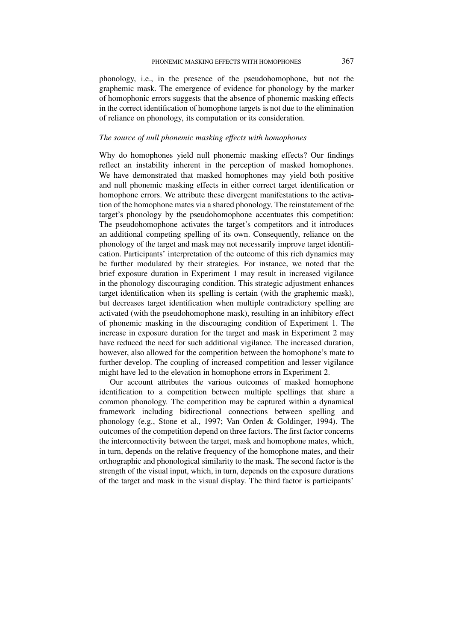phonology, i.e., in the presence of the pseudohomophone, but not the graphemic mask. The emergence of evidence for phonology by the marker of homophonic errors suggests that the absence of phonemic masking effects in the correct identification of homophone targets is not due to the elimination of reliance on phonology, its computation or its consideration.

## *The source of null phonemic masking effects with homophones*

Why do homophones yield null phonemic masking effects? Our findings reflect an instability inherent in the perception of masked homophones. We have demonstrated that masked homophones may yield both positive and null phonemic masking effects in either correct target identification or homophone errors. We attribute these divergent manifestations to the activation of the homophone mates via a shared phonology. The reinstatement of the target's phonology by the pseudohomophone accentuates this competition: The pseudohomophone activates the target's competitors and it introduces an additional competing spelling of its own. Consequently, reliance on the phonology of the target and mask may not necessarily improve target identification. Participants' interpretation of the outcome of this rich dynamics may be further modulated by their strategies. For instance, we noted that the brief exposure duration in Experiment 1 may result in increased vigilance in the phonology discouraging condition. This strategic adjustment enhances target identification when its spelling is certain (with the graphemic mask), but decreases target identification when multiple contradictory spelling are activated (with the pseudohomophone mask), resulting in an inhibitory effect of phonemic masking in the discouraging condition of Experiment 1. The increase in exposure duration for the target and mask in Experiment 2 may have reduced the need for such additional vigilance. The increased duration, however, also allowed for the competition between the homophone's mate to further develop. The coupling of increased competition and lesser vigilance might have led to the elevation in homophone errors in Experiment 2.

Our account attributes the various outcomes of masked homophone identification to a competition between multiple spellings that share a common phonology. The competition may be captured within a dynamical framework including bidirectional connections between spelling and phonology (e.g., Stone et al., 1997; Van Orden & Goldinger, 1994). The outcomes of the competition depend on three factors. The first factor concerns the interconnectivity between the target, mask and homophone mates, which, in turn, depends on the relative frequency of the homophone mates, and their orthographic and phonological similarity to the mask. The second factor is the strength of the visual input, which, in turn, depends on the exposure durations of the target and mask in the visual display. The third factor is participants'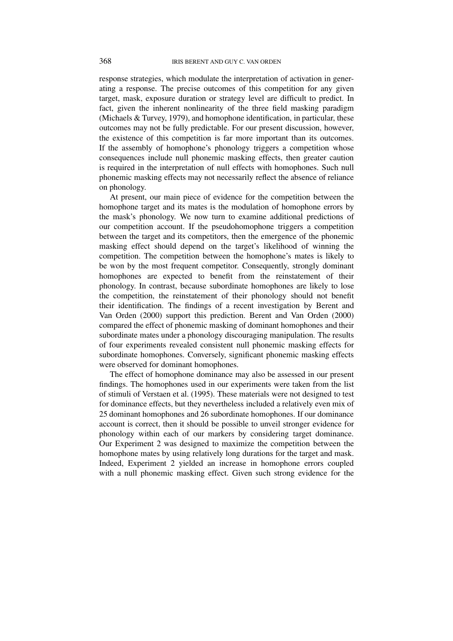response strategies, which modulate the interpretation of activation in generating a response. The precise outcomes of this competition for any given target, mask, exposure duration or strategy level are difficult to predict. In fact, given the inherent nonlinearity of the three field masking paradigm (Michaels & Turvey, 1979), and homophone identification, in particular, these outcomes may not be fully predictable. For our present discussion, however, the existence of this competition is far more important than its outcomes. If the assembly of homophone's phonology triggers a competition whose consequences include null phonemic masking effects, then greater caution is required in the interpretation of null effects with homophones. Such null phonemic masking effects may not necessarily reflect the absence of reliance on phonology.

At present, our main piece of evidence for the competition between the homophone target and its mates is the modulation of homophone errors by the mask's phonology. We now turn to examine additional predictions of our competition account. If the pseudohomophone triggers a competition between the target and its competitors, then the emergence of the phonemic masking effect should depend on the target's likelihood of winning the competition. The competition between the homophone's mates is likely to be won by the most frequent competitor. Consequently, strongly dominant homophones are expected to benefit from the reinstatement of their phonology. In contrast, because subordinate homophones are likely to lose the competition, the reinstatement of their phonology should not benefit their identification. The findings of a recent investigation by Berent and Van Orden (2000) support this prediction. Berent and Van Orden (2000) compared the effect of phonemic masking of dominant homophones and their subordinate mates under a phonology discouraging manipulation. The results of four experiments revealed consistent null phonemic masking effects for subordinate homophones. Conversely, significant phonemic masking effects were observed for dominant homophones.

The effect of homophone dominance may also be assessed in our present findings. The homophones used in our experiments were taken from the list of stimuli of Verstaen et al. (1995). These materials were not designed to test for dominance effects, but they nevertheless included a relatively even mix of 25 dominant homophones and 26 subordinate homophones. If our dominance account is correct, then it should be possible to unveil stronger evidence for phonology within each of our markers by considering target dominance. Our Experiment 2 was designed to maximize the competition between the homophone mates by using relatively long durations for the target and mask. Indeed, Experiment 2 yielded an increase in homophone errors coupled with a null phonemic masking effect. Given such strong evidence for the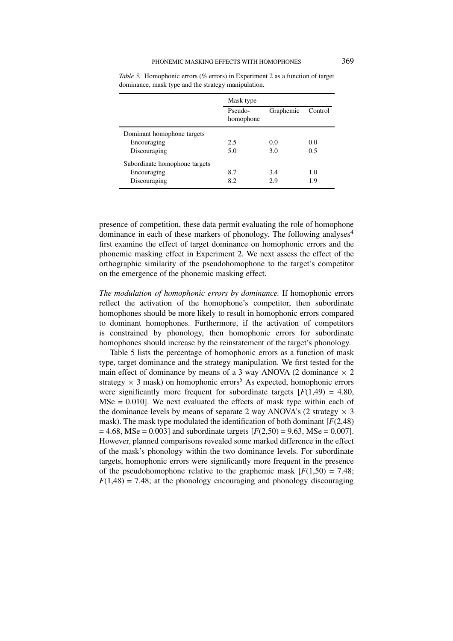|                               | Mask type            |           |         |
|-------------------------------|----------------------|-----------|---------|
|                               | Pseudo-<br>homophone | Graphemic | Control |
| Dominant homophone targets    |                      |           |         |
| Encouraging                   | 2.5                  | 0.0       | 0.0     |
| Discouraging                  | 5.0                  | 3.0       | 0.5     |
| Subordinate homophone targets |                      |           |         |
| Encouraging                   | 8.7                  | 3.4       | 1.0     |
| Discouraging                  | 8.2                  | 2.9       | 1.9     |

*Table 5.* Homophonic errors (% errors) in Experiment 2 as a function of target dominance, mask type and the strategy manipulation.

presence of competition, these data permit evaluating the role of homophone dominance in each of these markers of phonology. The following analyses<sup>4</sup> first examine the effect of target dominance on homophonic errors and the phonemic masking effect in Experiment 2. We next assess the effect of the orthographic similarity of the pseudohomophone to the target's competitor on the emergence of the phonemic masking effect.

*The modulation of homophonic errors by dominance.* If homophonic errors reflect the activation of the homophone's competitor, then subordinate homophones should be more likely to result in homophonic errors compared to dominant homophones. Furthermore, if the activation of competitors is constrained by phonology, then homophonic errors for subordinate homophones should increase by the reinstatement of the target's phonology.

Table 5 lists the percentage of homophonic errors as a function of mask type, target dominance and the strategy manipulation. We first tested for the main effect of dominance by means of a 3 way ANOVA (2 dominance  $\times$  2 strategy  $\times$  3 mask) on homophonic errors<sup>5</sup> As expected, homophonic errors were significantly more frequent for subordinate targets  $[F(1,49) = 4.80]$ ,  $MSe = 0.010$ . We next evaluated the effects of mask type within each of the dominance levels by means of separate 2 way ANOVA's (2 strategy  $\times$  3 mask). The mask type modulated the identification of both dominant [*F*(2,48)  $= 4.68$ , MSe = 0.003] and subordinate targets  $[*F*(2,50) = 9.63$ , MSe = 0.007]. However, planned comparisons revealed some marked difference in the effect of the mask's phonology within the two dominance levels. For subordinate targets, homophonic errors were significantly more frequent in the presence of the pseudohomophone relative to the graphemic mask  $[F(1,50) = 7.48]$ ;  $F(1,48) = 7.48$ ; at the phonology encouraging and phonology discouraging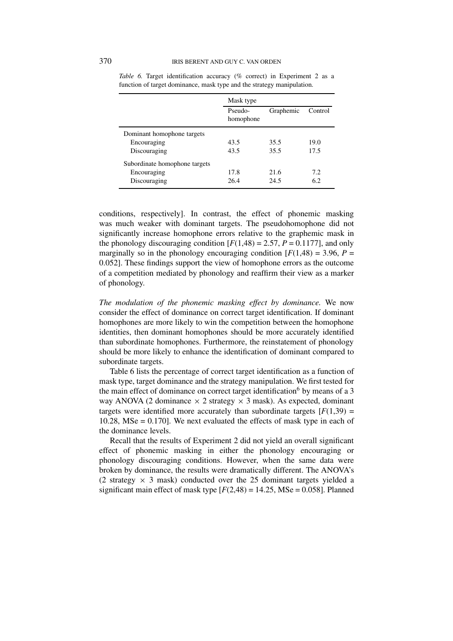|                               | Mask type            |           |         |
|-------------------------------|----------------------|-----------|---------|
|                               | Pseudo-<br>homophone | Graphemic | Control |
| Dominant homophone targets    |                      |           |         |
| Encouraging                   | 43.5                 | 35.5      | 19.0    |
| Discouraging                  | 43.5                 | 35.5      | 17.5    |
| Subordinate homophone targets |                      |           |         |
| Encouraging                   | 17.8                 | 21.6      | 7.2     |
| Discouraging                  | 26.4                 | 24.5      | 6.2     |

*Table 6.* Target identification accuracy (% correct) in Experiment 2 as a function of target dominance, mask type and the strategy manipulation.

conditions, respectively]. In contrast, the effect of phonemic masking was much weaker with dominant targets. The pseudohomophone did not significantly increase homophone errors relative to the graphemic mask in the phonology discouraging condition  $[F(1,48) = 2.57, P = 0.1177]$ , and only marginally so in the phonology encouraging condition  $[F(1,48) = 3.96, P =$ 0.052]. These findings support the view of homophone errors as the outcome of a competition mediated by phonology and reaffirm their view as a marker of phonology.

*The modulation of the phonemic masking effect by dominance.* We now consider the effect of dominance on correct target identification. If dominant homophones are more likely to win the competition between the homophone identities, then dominant homophones should be more accurately identified than subordinate homophones. Furthermore, the reinstatement of phonology should be more likely to enhance the identification of dominant compared to subordinate targets.

Table 6 lists the percentage of correct target identification as a function of mask type, target dominance and the strategy manipulation. We first tested for the main effect of dominance on correct target identification<sup>6</sup> by means of a 3 way ANOVA (2 dominance  $\times$  2 strategy  $\times$  3 mask). As expected, dominant targets were identified more accurately than subordinate targets  $[F(1,39) =$ 10.28, MSe = 0.170]. We next evaluated the effects of mask type in each of the dominance levels.

Recall that the results of Experiment 2 did not yield an overall significant effect of phonemic masking in either the phonology encouraging or phonology discouraging conditions. However, when the same data were broken by dominance, the results were dramatically different. The ANOVA's (2 strategy  $\times$  3 mask) conducted over the 25 dominant targets yielded a significant main effect of mask type  $[F(2,48) = 14.25, \text{MSe} = 0.058]$ . Planned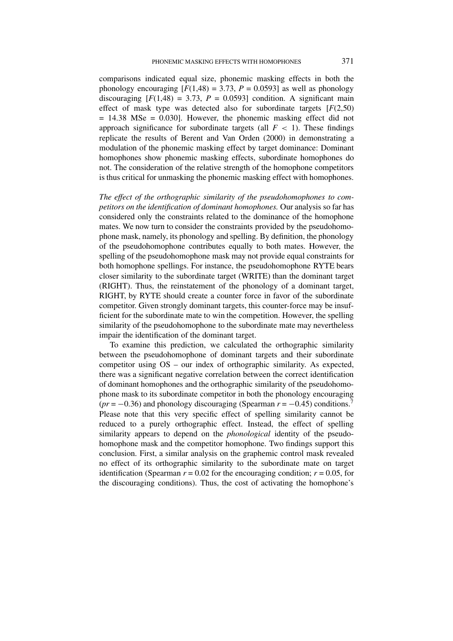comparisons indicated equal size, phonemic masking effects in both the phonology encouraging  $[F(1,48) = 3.73, P = 0.0593]$  as well as phonology discouraging  $[F(1,48) = 3.73, P = 0.0593]$  condition. A significant main effect of mask type was detected also for subordinate targets [*F*(2,50)  $= 14.38$  MSe  $= 0.030$ . However, the phonemic masking effect did not approach significance for subordinate targets (all  $F < 1$ ). These findings replicate the results of Berent and Van Orden (2000) in demonstrating a modulation of the phonemic masking effect by target dominance: Dominant homophones show phonemic masking effects, subordinate homophones do not. The consideration of the relative strength of the homophone competitors is thus critical for unmasking the phonemic masking effect with homophones.

*The effect of the orthographic similarity of the pseudohomophones to competitors on the identification of dominant homophones.* Our analysis so far has considered only the constraints related to the dominance of the homophone mates. We now turn to consider the constraints provided by the pseudohomophone mask, namely, its phonology and spelling. By definition, the phonology of the pseudohomophone contributes equally to both mates. However, the spelling of the pseudohomophone mask may not provide equal constraints for both homophone spellings. For instance, the pseudohomophone RYTE bears closer similarity to the subordinate target (WRITE) than the dominant target (RIGHT). Thus, the reinstatement of the phonology of a dominant target, RIGHT, by RYTE should create a counter force in favor of the subordinate competitor. Given strongly dominant targets, this counter-force may be insufficient for the subordinate mate to win the competition. However, the spelling similarity of the pseudohomophone to the subordinate mate may nevertheless impair the identification of the dominant target.

To examine this prediction, we calculated the orthographic similarity between the pseudohomophone of dominant targets and their subordinate competitor using OS – our index of orthographic similarity. As expected, there was a significant negative correlation between the correct identification of dominant homophones and the orthographic similarity of the pseudohomophone mask to its subordinate competitor in both the phonology encouraging  $(pr = -0.36)$  and phonology discouraging (Spearman  $r = -0.45$ ) conditions.<sup>7</sup> Please note that this very specific effect of spelling similarity cannot be reduced to a purely orthographic effect. Instead, the effect of spelling similarity appears to depend on the *phonological* identity of the pseudohomophone mask and the competitor homophone. Two findings support this conclusion. First, a similar analysis on the graphemic control mask revealed no effect of its orthographic similarity to the subordinate mate on target identification (Spearman  $r = 0.02$  for the encouraging condition;  $r = 0.05$ , for the discouraging conditions). Thus, the cost of activating the homophone's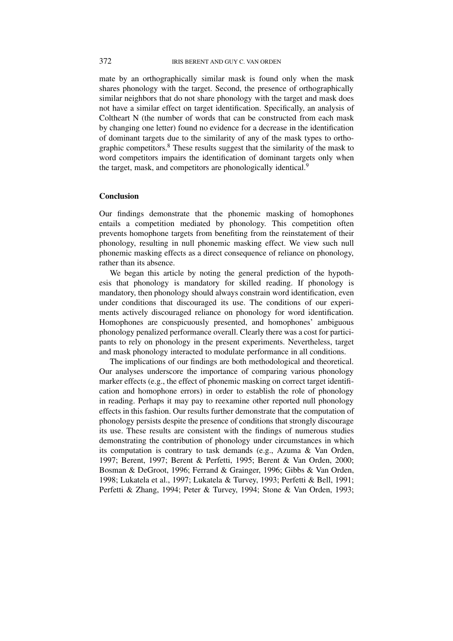mate by an orthographically similar mask is found only when the mask shares phonology with the target. Second, the presence of orthographically similar neighbors that do not share phonology with the target and mask does not have a similar effect on target identification. Specifically, an analysis of Coltheart N (the number of words that can be constructed from each mask by changing one letter) found no evidence for a decrease in the identification of dominant targets due to the similarity of any of the mask types to orthographic competitors.<sup>8</sup> These results suggest that the similarity of the mask to word competitors impairs the identification of dominant targets only when the target, mask, and competitors are phonologically identical.<sup>9</sup>

## **Conclusion**

Our findings demonstrate that the phonemic masking of homophones entails a competition mediated by phonology. This competition often prevents homophone targets from benefiting from the reinstatement of their phonology, resulting in null phonemic masking effect. We view such null phonemic masking effects as a direct consequence of reliance on phonology, rather than its absence.

We began this article by noting the general prediction of the hypothesis that phonology is mandatory for skilled reading. If phonology is mandatory, then phonology should always constrain word identification, even under conditions that discouraged its use. The conditions of our experiments actively discouraged reliance on phonology for word identification. Homophones are conspicuously presented, and homophones' ambiguous phonology penalized performance overall. Clearly there was a cost for participants to rely on phonology in the present experiments. Nevertheless, target and mask phonology interacted to modulate performance in all conditions.

The implications of our findings are both methodological and theoretical. Our analyses underscore the importance of comparing various phonology marker effects (e.g., the effect of phonemic masking on correct target identification and homophone errors) in order to establish the role of phonology in reading. Perhaps it may pay to reexamine other reported null phonology effects in this fashion. Our results further demonstrate that the computation of phonology persists despite the presence of conditions that strongly discourage its use. These results are consistent with the findings of numerous studies demonstrating the contribution of phonology under circumstances in which its computation is contrary to task demands (e.g., Azuma & Van Orden, 1997; Berent, 1997; Berent & Perfetti, 1995; Berent & Van Orden, 2000; Bosman & DeGroot, 1996; Ferrand & Grainger, 1996; Gibbs & Van Orden, 1998; Lukatela et al., 1997; Lukatela & Turvey, 1993; Perfetti & Bell, 1991; Perfetti & Zhang, 1994; Peter & Turvey, 1994; Stone & Van Orden, 1993;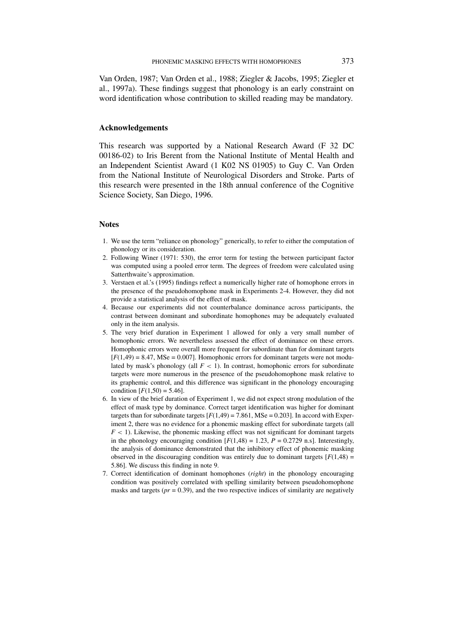Van Orden, 1987; Van Orden et al., 1988; Ziegler & Jacobs, 1995; Ziegler et al., 1997a). These findings suggest that phonology is an early constraint on word identification whose contribution to skilled reading may be mandatory.

## **Acknowledgements**

This research was supported by a National Research Award (F 32 DC 00186-02) to Iris Berent from the National Institute of Mental Health and an Independent Scientist Award (1 K02 NS 01905) to Guy C. Van Orden from the National Institute of Neurological Disorders and Stroke. Parts of this research were presented in the 18th annual conference of the Cognitive Science Society, San Diego, 1996.

#### **Notes**

- 1. We use the term "reliance on phonology" generically, to refer to either the computation of phonology or its consideration.
- 2. Following Winer (1971: 530), the error term for testing the between participant factor was computed using a pooled error term. The degrees of freedom were calculated using Satterthwaite's approximation.
- 3. Verstaen et al.'s (1995) findings reflect a numerically higher rate of homophone errors in the presence of the pseudohomophone mask in Experiments 2-4. However, they did not provide a statistical analysis of the effect of mask.
- 4. Because our experiments did not counterbalance dominance across participants, the contrast between dominant and subordinate homophones may be adequately evaluated only in the item analysis.
- 5. The very brief duration in Experiment 1 allowed for only a very small number of homophonic errors. We nevertheless assessed the effect of dominance on these errors. Homophonic errors were overall more frequent for subordinate than for dominant targets  $[F(1,49) = 8.47, \text{MSe} = 0.007]$ . Homophonic errors for dominant targets were not modulated by mask's phonology (all  $F < 1$ ). In contrast, homophonic errors for subordinate targets were more numerous in the presence of the pseudohomophone mask relative to its graphemic control, and this difference was significant in the phonology encouraging condition  $[F(1,50) = 5.46]$ .
- 6. In view of the brief duration of Experiment 1, we did not expect strong modulation of the effect of mask type by dominance. Correct target identification was higher for dominant targets than for subordinate targets  $[F(1,49) = 7.861, \text{MSe} = 0.203]$ . In accord with Experiment 2, there was no evidence for a phonemic masking effect for subordinate targets (all  $F$  < 1). Likewise, the phonemic masking effect was not significant for dominant targets in the phonology encouraging condition  $[F(1,48) = 1.23, P = 0.2729 \text{ n.s}]$ . Interestingly, the analysis of dominance demonstrated that the inhibitory effect of phonemic masking observed in the discouraging condition was entirely due to dominant targets  $[F(1,48) =$ 5.86]. We discuss this finding in note 9.
- 7. Correct identification of dominant homophones (*right*) in the phonology encouraging condition was positively correlated with spelling similarity between pseudohomophone masks and targets  $(pr = 0.39)$ , and the two respective indices of similarity are negatively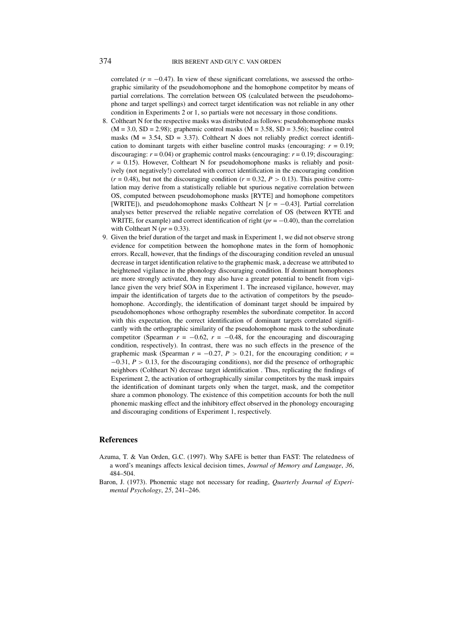correlated  $(r = -0.47)$ . In view of these significant correlations, we assessed the orthographic similarity of the pseudohomophone and the homophone competitor by means of partial correlations. The correlation between OS (calculated between the pseudohomophone and target spellings) and correct target identification was not reliable in any other condition in Experiments 2 or 1, so partials were not necessary in those conditions.

- 8. Coltheart N for the respective masks was distributed as follows: pseudohomophone masks  $(M = 3.0, SD = 2.98)$ ; graphemic control masks  $(M = 3.58, SD = 3.56)$ ; baseline control masks ( $M = 3.54$ ,  $SD = 3.37$ ). Coltheart N does not reliably predict correct identification to dominant targets with either baseline control masks (encouraging:  $r = 0.19$ ; discouraging:  $r = 0.04$ ) or graphemic control masks (encouraging:  $r = 0.19$ ; discouraging:  $r = 0.15$ ). However, Coltheart N for pseudohomophone masks is reliably and positively (not negatively!) correlated with correct identification in the encouraging condition  $(r = 0.48)$ , but not the discouraging condition  $(r = 0.32, P > 0.13)$ . This positive correlation may derive from a statistically reliable but spurious negative correlation between OS, computed between pseudohomophone masks [RYTE] and homophone competitors [WRITE]), and pseudohomophone masks Coltheart N  $[r = -0.43]$ . Partial correlation analyses better preserved the reliable negative correlation of OS (between RYTE and WRITE, for example) and correct identification of right  $(pr = -0.40)$ , than the correlation with Coltheart N  $(pr = 0.33)$ .
- 9. Given the brief duration of the target and mask in Experiment 1, we did not observe strong evidence for competition between the homophone mates in the form of homophonic errors. Recall, however, that the findings of the discouraging condition reveled an unusual decrease in target identification relative to the graphemic mask, a decrease we attributed to heightened vigilance in the phonology discouraging condition. If dominant homophones are more strongly activated, they may also have a greater potential to benefit from vigilance given the very brief SOA in Experiment 1. The increased vigilance, however, may impair the identification of targets due to the activation of competitors by the pseudohomophone. Accordingly, the identification of dominant target should be impaired by pseudohomophones whose orthography resembles the subordinate competitor. In accord with this expectation, the correct identification of dominant targets correlated significantly with the orthographic similarity of the pseudohomophone mask to the subordinate competitor (Spearman  $r = -0.62$ ,  $r = -0.48$ , for the encouraging and discouraging condition, respectively). In contrast, there was no such effects in the presence of the graphemic mask (Spearman  $r = -0.27$ ,  $P > 0.21$ , for the encouraging condition;  $r =$ −0.31, *P >* 0.13, for the discouraging conditions), nor did the presence of orthographic neighbors (Coltheart N) decrease target identification . Thus, replicating the findings of Experiment 2, the activation of orthographically similar competitors by the mask impairs the identification of dominant targets only when the target, mask, and the competitor share a common phonology. The existence of this competition accounts for both the null phonemic masking effect and the inhibitory effect observed in the phonology encouraging and discouraging conditions of Experiment 1, respectively.

## **References**

- Azuma, T. & Van Orden, G.C. (1997). Why SAFE is better than FAST: The relatedness of a word's meanings affects lexical decision times, *Journal of Memory and Language*, *36*, 484–504.
- Baron, J. (1973). Phonemic stage not necessary for reading, *Quarterly Journal of Experimental Psychology*, *25*, 241–246.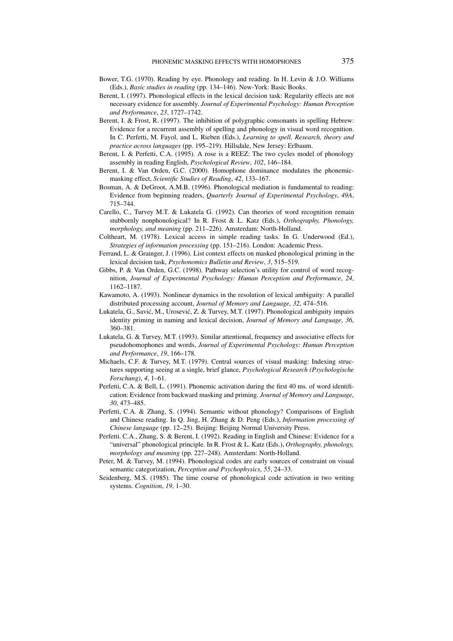- Bower, T.G. (1970). Reading by eye. Phonology and reading. In H. Levin & J.O. Williams (Eds.), *Basic studies in reading* (pp. 134–146). New-York: Basic Books.
- Berent, I. (1997). Phonological effects in the lexical decision task: Regularity effects are not necessary evidence for assembly. *Journal of Experimental Psychology: Human Perception and Performance*, *23*, 1727–1742.
- Berent, I. & Frost, R. (1997). The inhibition of polygraphic consonants in spelling Hebrew: Evidence for a recurrent assembly of spelling and phonology in visual word recognition. In C. Perfetti, M. Fayol, and L. Rieben (Eds.), *Learning to spell. Research, theory and practice across languages* (pp. 195–219). Hillsdale, New Jersey: Erlbaum.
- Berent, I. & Perfetti, C.A. (1995). A rose is a REEZ: The two cycles model of phonology assembly in reading English, *Psychological Review*, *102*, 146–184.
- Berent, I. & Van Orden, G.C. (2000). Homophone dominance modulates the phonemicmasking effect, *Scientific Studies of Reading*, *42*, 133–167.
- Bosman, A. & DeGroot, A.M.B. (1996). Phonological mediation is fundamental to reading: Evidence from beginning readers, *Quarterly Journal of Experimental Psychology*, *49A*, 715–744.
- Carello, C., Turvey M.T. & Lukatela G. (1992). Can theories of word recognition remain stubbornly nonphonological? In R. Frost & L. Katz (Eds.), *Orthography, Phonology, morphology, and meaning* (pp. 211–226). Amsterdam: North-Holland.
- Coltheart, M. (1978). Lexical access in simple reading tasks. In G. Underwood (Ed.), *Strategies of information processing* (pp. 151–216). London: Academic Press.
- Ferrand, L. & Grainger, J. (1996). List context effects on masked phonological priming in the lexical decision task, *Psychonomics Bulletin and Review*, *3*, 515–519.
- Gibbs, P. & Van Orden, G.C. (1998). Pathway selection's utility for control of word recognition, *Journal of Experimental Psychology: Human Perception and Performance*, *24*, 1162–1187.
- Kawamoto, A. (1993). Nonlinear dynamics in the resolution of lexical ambiguity: A parallel distributed processing account, *Journal of Memory and Language*, *32*, 474–516.
- Lukatela, G., Savić, M., Urosević, Z. & Turvey, M.T. (1997). Phonological ambiguity impairs identity priming in naming and lexical decision, *Journal of Memory and Language*, *36*, 360–381.
- Lukatela, G. & Turvey, M.T. (1993). Similar attentional, frequency and associative effects for pseudohomophones and words, *Journal of Experimental Psychology: Human Perception and Performance*, *19*, 166–178.
- Michaels, C.F. & Turvey, M.T. (1979). Central sources of visual masking: Indexing structures supporting seeing at a single, brief glance, *Psychological Research (Psychologische Forschung)*, *4*, 1–61.
- Perfetti, C.A. & Bell, L. (1991). Phonemic activation during the first 40 ms. of word identification: Evidence from backward masking and priming. *Journal of Memory and Language*, *30*, 473–485.
- Perfetti, C.A. & Zhang, S. (1994). Semantic without phonology? Comparisons of English and Chinese reading. In Q. Jing, H. Zhang & D. Peng (Eds.), *Information processing of Chinese language* (pp. 12–25). Beijing: Beijing Normal University Press.
- Perfetti. C.A., Zhang, S. & Berent, I. (1992). Reading in English and Chinese: Evidence for a "universal" phonological principle. In R. Frost & L. Katz (Eds.), *Orthography, phonology, morphology and meaning* (pp. 227–248). Amsterdam: North-Holland.
- Peter, M. & Turvey, M. (1994). Phonological codes are early sources of constraint on visual semantic categorization, *Perception and Psychophysics*, *55*, 24–33.
- Seidenberg, M.S. (1985). The time course of phonological code activation in two writing systems. *Cognition*, *19*, 1–30.